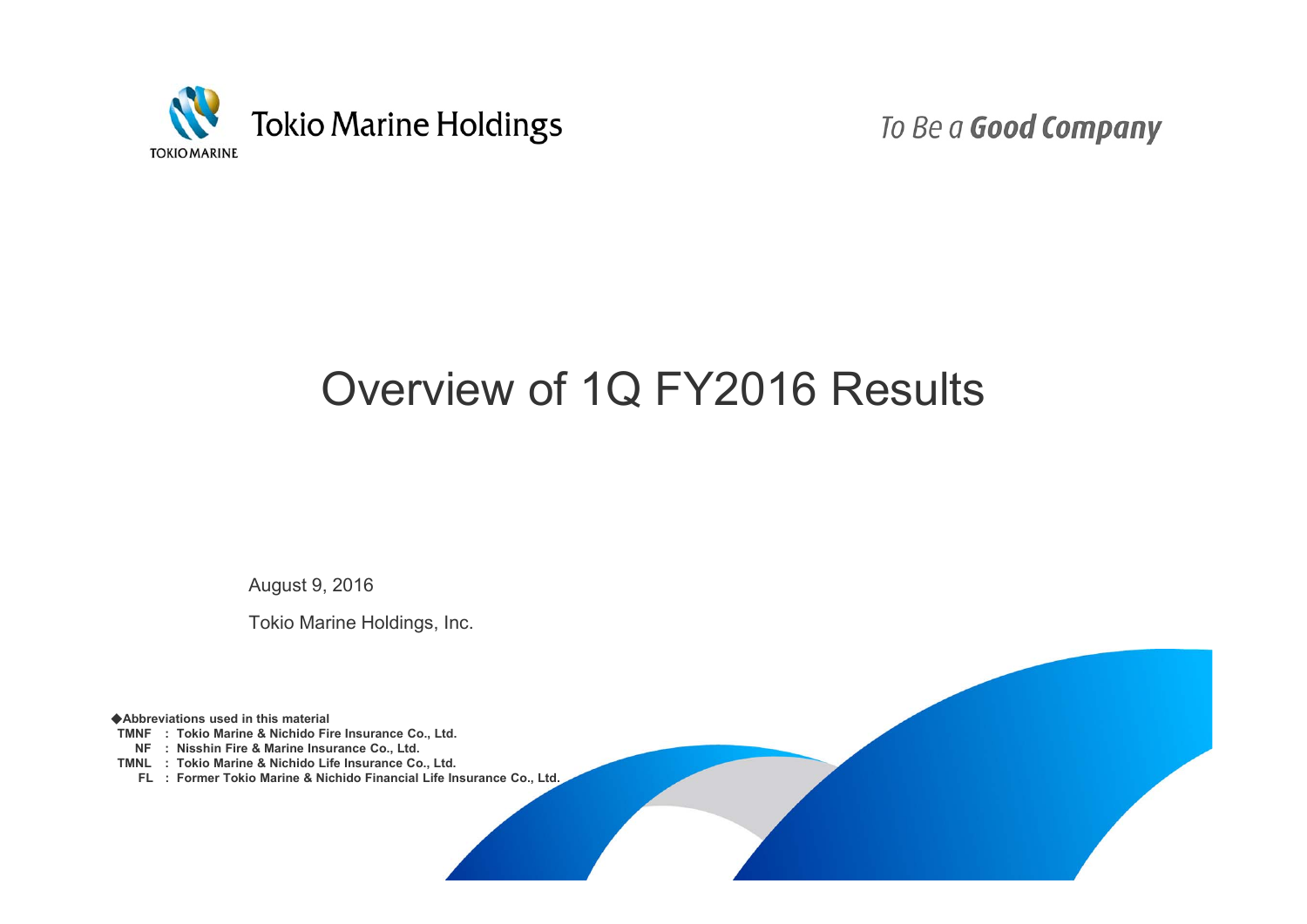

To Be a Good Company

# Overview of 1Q FY2016 Results

August 9, 2016

Tokio Marine Holdings, Inc.

◆**Abbreviations used in this material**

**TMNF : Tokio Marine & Nichido Fire Insurance Co., Ltd.**

**NF : Nisshin Fire & Marine Insurance Co., Ltd.**

**TMNL : Tokio Marine & Nichido Life Insurance Co., Ltd.**

**FL : Former Tokio Marine & Nichido Financial Life Insurance Co., Ltd.**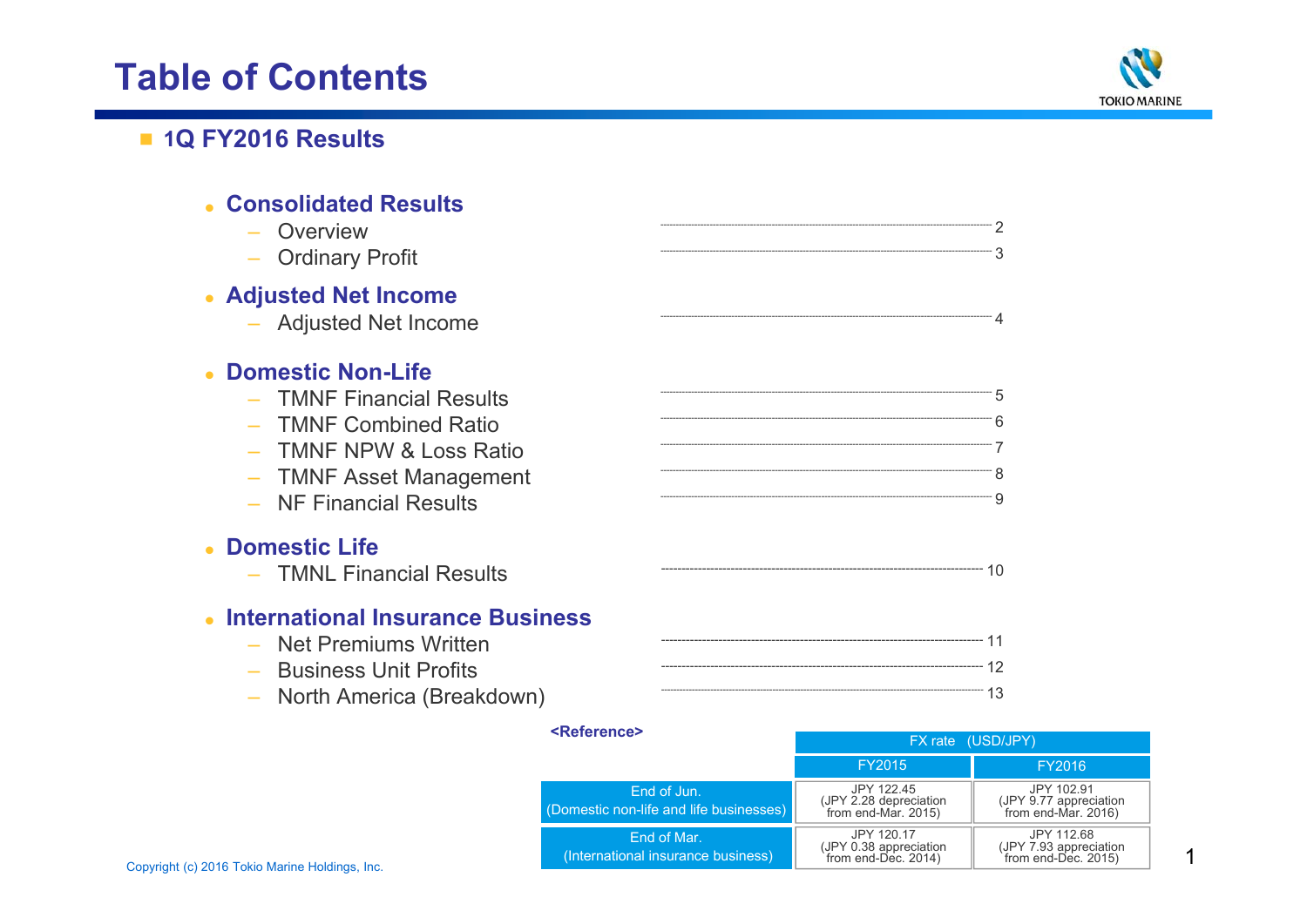## **Table of Contents**



### ■ **1Q FY2016 Results**

| <b>Consolidated Results</b><br>- Overview<br>- Ordinary Profit                                                                                                         |               |
|------------------------------------------------------------------------------------------------------------------------------------------------------------------------|---------------|
| <b>Adjusted Net Income</b><br>- Adjusted Net Income                                                                                                                    |               |
| <b>Domestic Non-Life</b><br>- TMNF Financial Results<br>- TMNF Combined Ratio<br><b>TMNF NPW &amp; Loss Ratio</b><br>- TMNF Asset Management<br>- NF Financial Results | $\frac{1}{1}$ |
| <b>Domestic Life</b><br>- TMNL Financial Results                                                                                                                       |               |
| <b>International Insurance Business</b><br>- Net Premiums Written<br><b>Business Unit Profits</b><br>$\sim$<br>- North America (Breakdown)                             |               |

|                                                | <reference></reference>                                | FX rate (USD/JPY)<br>FY2016<br>FY2015                       |                                                             |
|------------------------------------------------|--------------------------------------------------------|-------------------------------------------------------------|-------------------------------------------------------------|
|                                                |                                                        |                                                             |                                                             |
|                                                | End of Jun.<br>(Domestic non-life and life businesses) | JPY 122.45<br>(JPY 2.28 depreciation<br>from end-Mar. 2015) | JPY 102.91<br>(JPY 9.77 appreciation<br>from end-Mar. 2016) |
| Copyright (c) 2016 Tokio Marine Holdings, Inc. | End of Mar.<br>(International insurance business)      | JPY 120.17<br>(JPY 0.38 appreciation<br>from end-Dec. 2014) | JPY 112.68<br>(JPY 7.93 appreciation<br>from end-Dec. 2015) |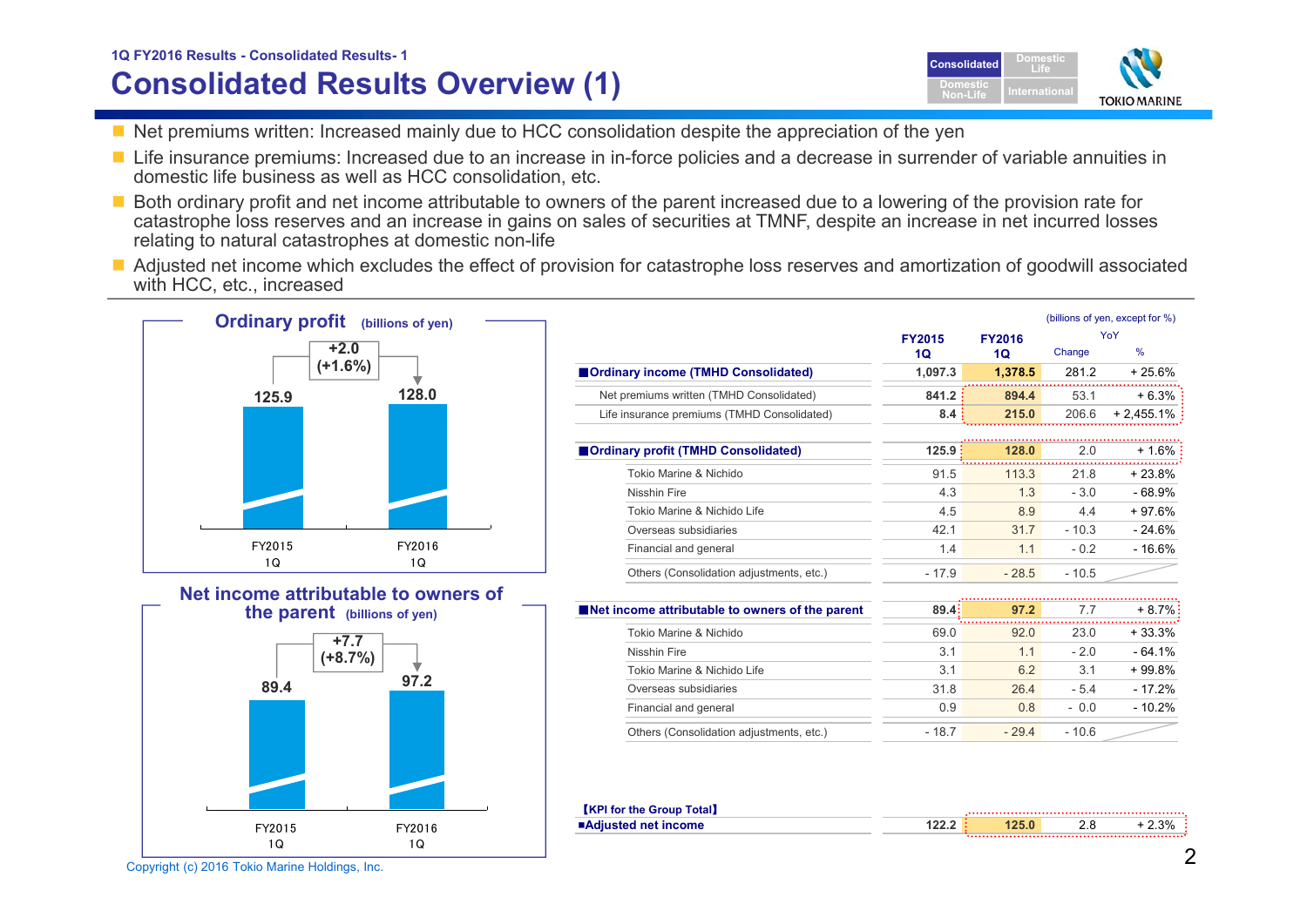### **Consolidated Results Overview (1) 1Q FY2016 Results - Consolidated Results- <sup>1</sup> Consolidated**



- $\blacksquare$  Net premiums written: Increased mainly due to HCC consolidation despite the appreciation of the yen
- Life insurance premiums: Increased due to an increase in in-force policies and a decrease in surrender of variable annuities in domestic life business as well as HCC consolidation, etc.
- Both ordinary profit and net income attributable to owners of the parent increased due to a lowering of the provision rate for catastrophe loss reserves and an increase in gains on sales of securities at TMNF, despite an increase in net incurred losses relating to natural catastrophes at domestic non-life
- Adjusted net income which excludes the effect of provision for catastrophe loss reserves and amortization of goodwill associated with HCC, etc., increased





| YoY                  |
|----------------------|
|                      |
| $\%$<br>Change       |
| 281.2<br>$+25.6%$    |
| 53.1<br>+ 6.3%       |
| 206.6<br>$+2,455.1%$ |
|                      |
| 2.0<br>+ 1.6%        |
| $+23.8%$<br>21.8     |
| $-68.9%$<br>$-3.0$   |
| $+97.6%$<br>44       |
| $-10.3$<br>$-24.6%$  |
| $-16.6%$<br>$-0.2$   |
| $-10.5$              |
|                      |
| $+8.7\%$<br>7.7      |
| 23.0<br>$+33.3%$     |
| $-64.1%$<br>$-2.0$   |
|                      |

| Tokio Marine & Nichido                   | 69.0   | 92.0   | 23.0    | $+33.3%$ |
|------------------------------------------|--------|--------|---------|----------|
| Nisshin Fire                             | 3.1    | 1.1    | $-20$   | - 64.1%  |
| Tokio Marine & Nichido Life              | 3.1    | 6.2    | 3.1     | $+99.8%$ |
| Overseas subsidiaries                    | 318    | 26.4   | $-5.4$  | $-172%$  |
| Financial and general                    | 0.9    | 0.8    | $-0.0$  | $-10.2%$ |
| Others (Consolidation adjustments, etc.) | - 18 7 | $-294$ | $-10.6$ |          |

| <b>KPI for the Group Total</b> |  |      |
|--------------------------------|--|------|
| ■Adiusted net income           |  | 2.3% |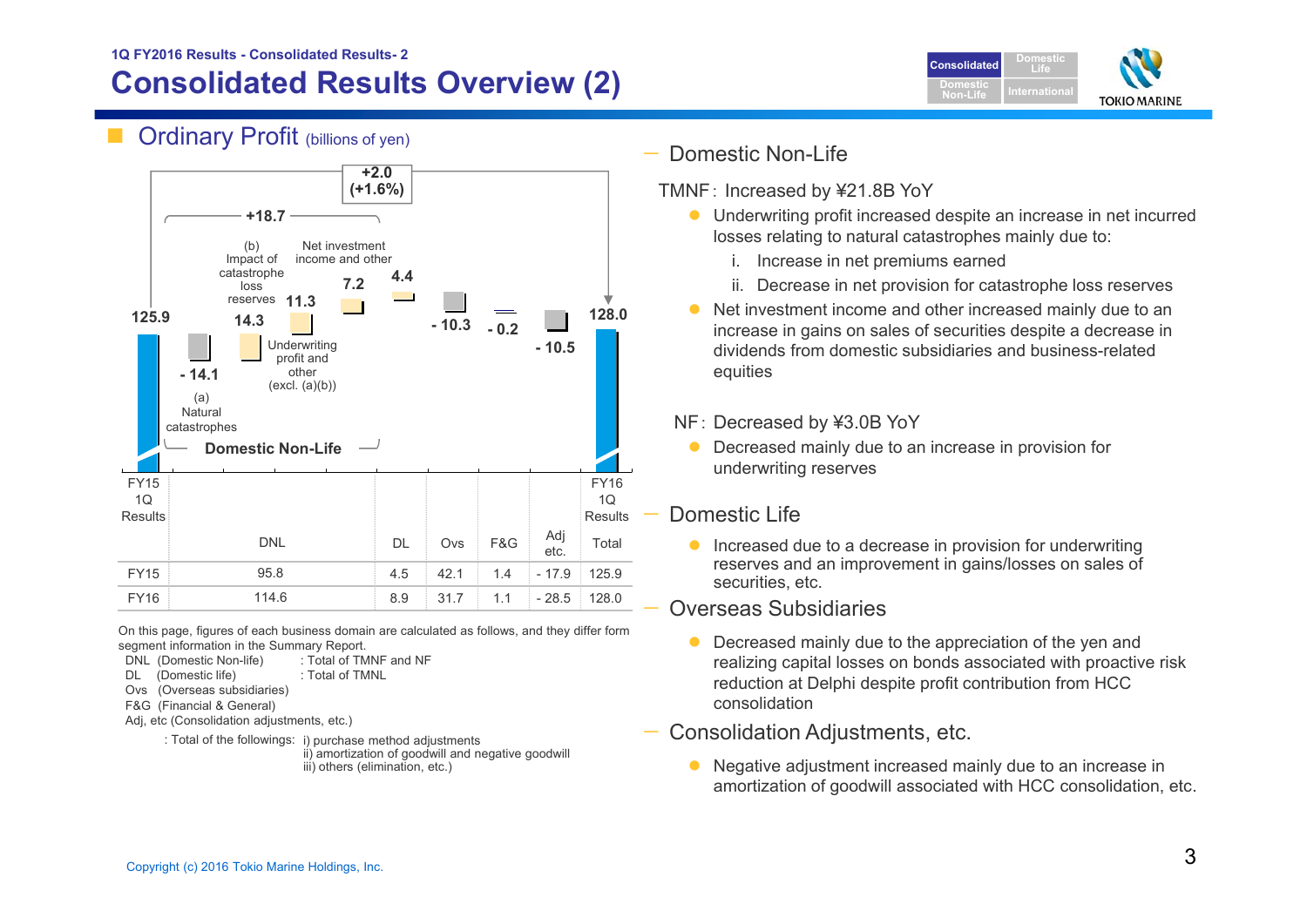### **Consolidated Results Overview (2) 1Q FY2016 Results - Consolidated Results- 2**



### Ordinary Profit (billions of yen)



On this page, figures of each business domain are calculated as follows, and they differ form segment information in the Summary Report.

- DNL (Domestic Non-life) : Total of TMNF and NF
- DL (Domestic life) : Total of TMNL
- Ovs (Overseas subsidiaries)
- F&G (Financial & General)
- Adj, etc (Consolidation adjustments, etc.)
	- : Total of the followings: i) purchase method adjustments
		- ii) amortization of goodwill and negative goodwill iii) others (elimination, etc.)
- — Domestic Non-Life
	- TMNF: Increased by ¥21.8B YoY
		- $\bullet$  Underwriting profit increased despite an increase in net incurred losses relating to natural catastrophes mainly due to:
			- i. Increase in net premiums earned
			- ii. Decrease in net provision for catastrophe loss reserves
		- $\bullet$  Net investment income and other increased mainly due to an increase in gains on sales of securities despite a decrease in dividends from domestic subsidiaries and business-related equities
		- NF: Decreased by ¥3.0B YoY
		- $\bullet$  Decreased mainly due to an increase in provision for underwriting reserves

### Domestic Life

 $\bullet$  Increased due to a decrease in provision for underwriting reserves and an improvement in gains/losses on sales of securities, etc.

#### Overseas Subsidiaries

- $\bullet$  Decreased mainly due to the appreciation of the yen and realizing capital losses on bonds associated with proactive risk reduction at Delphi despite profit contribution from HCC consolidation
- Consolidation Adjustments, etc.
	- $\bullet$  Negative adjustment increased mainly due to an increase in amortization of goodwill associated with HCC consolidation, etc.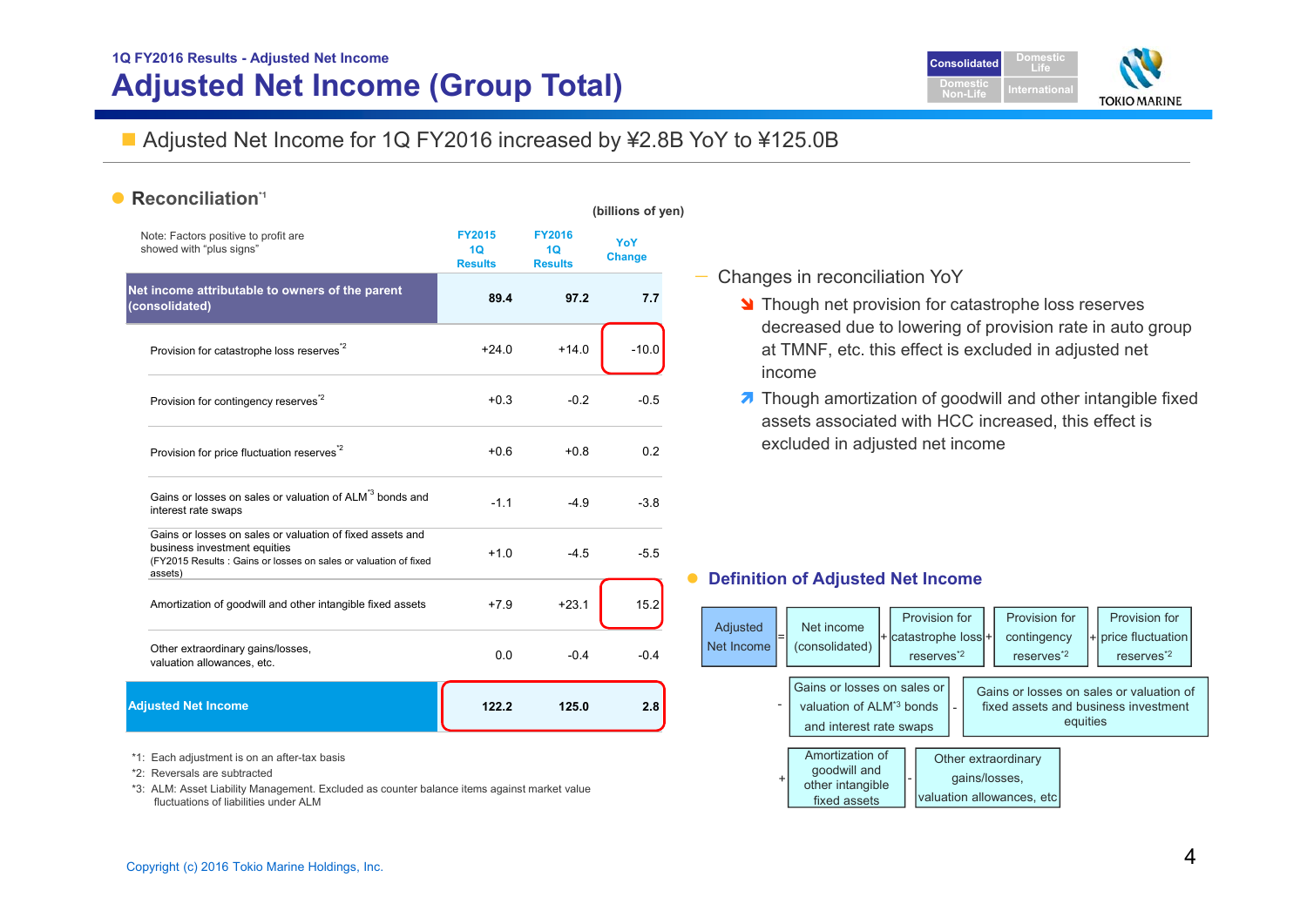## **1Q FY2016 Results - Adjusted Net Income Adjusted Net Income (Group Total)**



### ■ Adjusted Net Income for 1Q FY2016 increased by ¥2.8B YoY to ¥125.0B

#### •**Reconciliation\*1**

|                                                                                                                                                                         |                                       |                                       | (billions of yen)    |
|-------------------------------------------------------------------------------------------------------------------------------------------------------------------------|---------------------------------------|---------------------------------------|----------------------|
| Note: Factors positive to profit are<br>showed with "plus signs"                                                                                                        | <b>FY2015</b><br>1Q<br><b>Results</b> | <b>FY2016</b><br>1Q<br><b>Results</b> | YoY<br><b>Change</b> |
| Net income attributable to owners of the parent<br>(consolidated)                                                                                                       | 89.4                                  | 97.2                                  | 7.7                  |
| Provision for catastrophe loss reserves <sup>2</sup>                                                                                                                    | $+24.0$                               | $+14.0$                               | $-10.0$              |
| Provision for contingency reserves <sup>2</sup>                                                                                                                         | $+0.3$                                | $-0.2$                                | $-0.5$               |
| Provision for price fluctuation reserves <sup>"2</sup>                                                                                                                  | $+0.6$                                | $+0.8$                                | 0.2                  |
| Gains or losses on sales or valuation of ALM <sup>*3</sup> bonds and<br>interest rate swaps                                                                             | $-1.1$                                | $-4.9$                                | $-3.8$               |
| Gains or losses on sales or valuation of fixed assets and<br>business investment equities<br>(FY2015 Results: Gains or losses on sales or valuation of fixed<br>assets) | $+1.0$                                | $-4.5$                                | $-5.5$               |
| Amortization of goodwill and other intangible fixed assets                                                                                                              | $+7.9$                                | $+23.1$                               | 15.2                 |
| Other extraordinary gains/losses,<br>valuation allowances, etc.                                                                                                         | 0.0                                   | $-0.4$                                | $-0.4$               |
| <b>Adjusted Net Income</b>                                                                                                                                              | 122.2                                 | 125.0                                 | 2.8                  |

\*1: Each adjustment is on an after-tax basis

- \*2: Reversals are subtracted
- \*3: ALM: Asset Liability Management. Excluded as counter balance items against market value fluctuations of liabilities under ALM

#### — Changes in reconciliation YoY

**N** Though net provision for catastrophe loss reserves decreased due to lowering of provision rate in auto group at TMNF, etc. this effect is excluded in adjusted net income

**7** Though amortization of goodwill and other intangible fixed assets associated with HCC increased, this effect is excluded in adjusted net income

#### $\bullet$ **Definition of Adjusted Net Income**

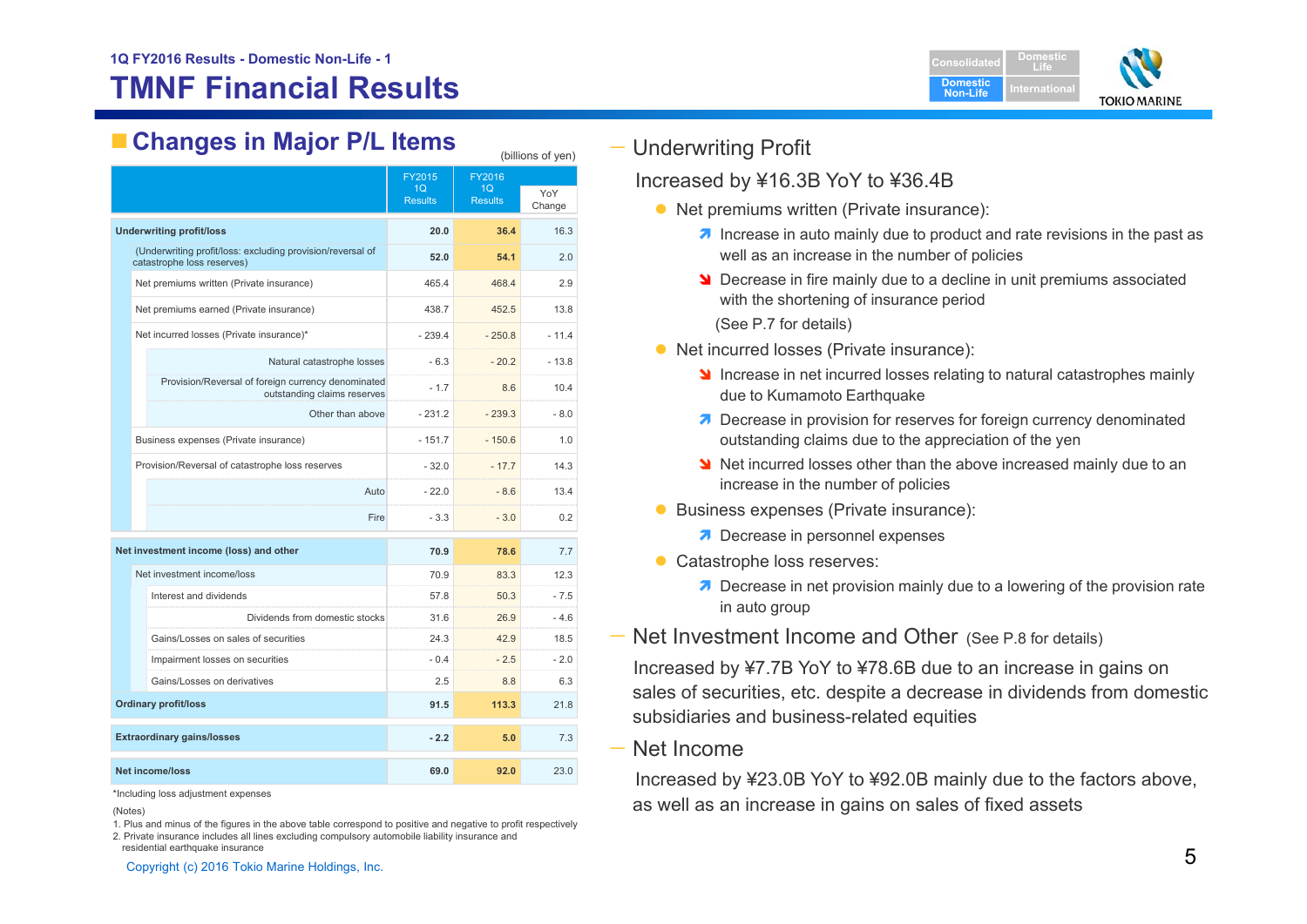## **TMNF Financial Results**



## **Changes in Major P/L Items** (billions of yen)

|                                                                                          |                             | FY2015                           | FY2016               |               |  |
|------------------------------------------------------------------------------------------|-----------------------------|----------------------------------|----------------------|---------------|--|
|                                                                                          |                             | 1 <sub>O</sub><br><b>Results</b> | 1Q<br><b>Results</b> | YoY<br>Change |  |
| <b>Underwriting profit/loss</b>                                                          |                             | 20.0                             | 36.4                 | 16.3          |  |
| (Underwriting profit/loss: excluding provision/reversal of<br>catastrophe loss reserves) |                             | 52.0                             | 54.1                 | 2.0           |  |
| Net premiums written (Private insurance)                                                 |                             | 465.4                            | 468.4                | 2.9           |  |
| Net premiums earned (Private insurance)                                                  |                             | 438.7                            | 452.5                | 13.8          |  |
| Net incurred losses (Private insurance)*                                                 |                             | $-239.4$                         | $-250.8$             | $-11.4$       |  |
|                                                                                          | Natural catastrophe losses  | $-6.3$                           | $-20.2$              | $-13.8$       |  |
| Provision/Reversal of foreign currency denominated                                       | outstanding claims reserves | $-1.7$                           | 8.6                  | 10.4          |  |
|                                                                                          | Other than above            | $-231.2$                         | $-239.3$             | $-8.0$        |  |
| Business expenses (Private insurance)                                                    |                             | $-151.7$                         | $-150.6$             | 1.0           |  |
| Provision/Reversal of catastrophe loss reserves                                          |                             | $-32.0$                          | $-17.7$              | 14.3          |  |
|                                                                                          | Auto                        | $-22.0$                          | $-8.6$               | 13.4          |  |
|                                                                                          | Fire                        | $-3.3$                           | $-3.0$               | 0.2           |  |
| Net investment income (loss) and other                                                   |                             | 70.9                             | 78.6                 | 7.7           |  |
| Net investment income/loss                                                               |                             | 70.9                             | 83.3                 | 12.3          |  |
| Interest and dividends                                                                   |                             | 57.8                             | 50.3                 | - 7.5         |  |
| Dividends from domestic stocks                                                           |                             | 31.6                             | 26.9                 | $-4.6$        |  |
| Gains/Losses on sales of securities                                                      |                             | 24.3                             | 42.9                 | 18.5          |  |
| Impairment losses on securities                                                          |                             | $-0.4$                           | $-2.5$               | $-2.0$        |  |
| Gains/Losses on derivatives                                                              |                             | 2.5                              | 8.8                  | 6.3           |  |
| <b>Ordinary profit/loss</b>                                                              |                             | 91.5                             | 113.3                | 21.8          |  |
| <b>Extraordinary gains/losses</b>                                                        |                             | $-2.2$                           | 5.0                  | 7.3           |  |
| <b>Net income/loss</b>                                                                   |                             | 69.0                             | 92.0                 | 23.0          |  |

\*Including loss adjustment expenses

1. Plus and minus of the figures in the above table correspond to positive and negative to profit respectively

#### — Underwriting Profit

#### Increased by ¥16.3B YoY to ¥36.4B

- Net premiums written (Private insurance):
	- **1** Increase in auto mainly due to product and rate revisions in the past as well as an increase in the number of policies
	- **N** Decrease in fire mainly due to a decline in unit premiums associated with the shortening of insurance period (See P.7 for details)
- Net incurred losses (Private insurance):
	- Increase in net incurred losses relating to natural catastrophes mainly due to Kumamoto Earthquake
	- **7** Decrease in provision for reserves for foreign currency denominated outstanding claims due to the appreciation of the yen
	- Net incurred losses other than the above increased mainly due to an increase in the number of policies
- **Business expenses (Private insurance):** 
	- **7** Decrease in personnel expenses
- Catastrophe loss reserves:
	- **7** Decrease in net provision mainly due to a lowering of the provision rate in auto group
- Net Investment Income and Other (See P.8 for details)

Increased by ¥7.7B YoY to ¥78.6B due to an increase in gains on sales of securities, etc. despite a decrease in dividends from domestic subsidiaries and business-related equities

— Net Income

Increased by ¥23.0B YoY to ¥92.0B mainly due to the factors above, as well as an increase in gains on sales of fixed assets

<sup>(</sup>Notes)

<sup>2.</sup> Private insurance includes all lines excluding compulsory automobile liability insurance and residential earthquake insurance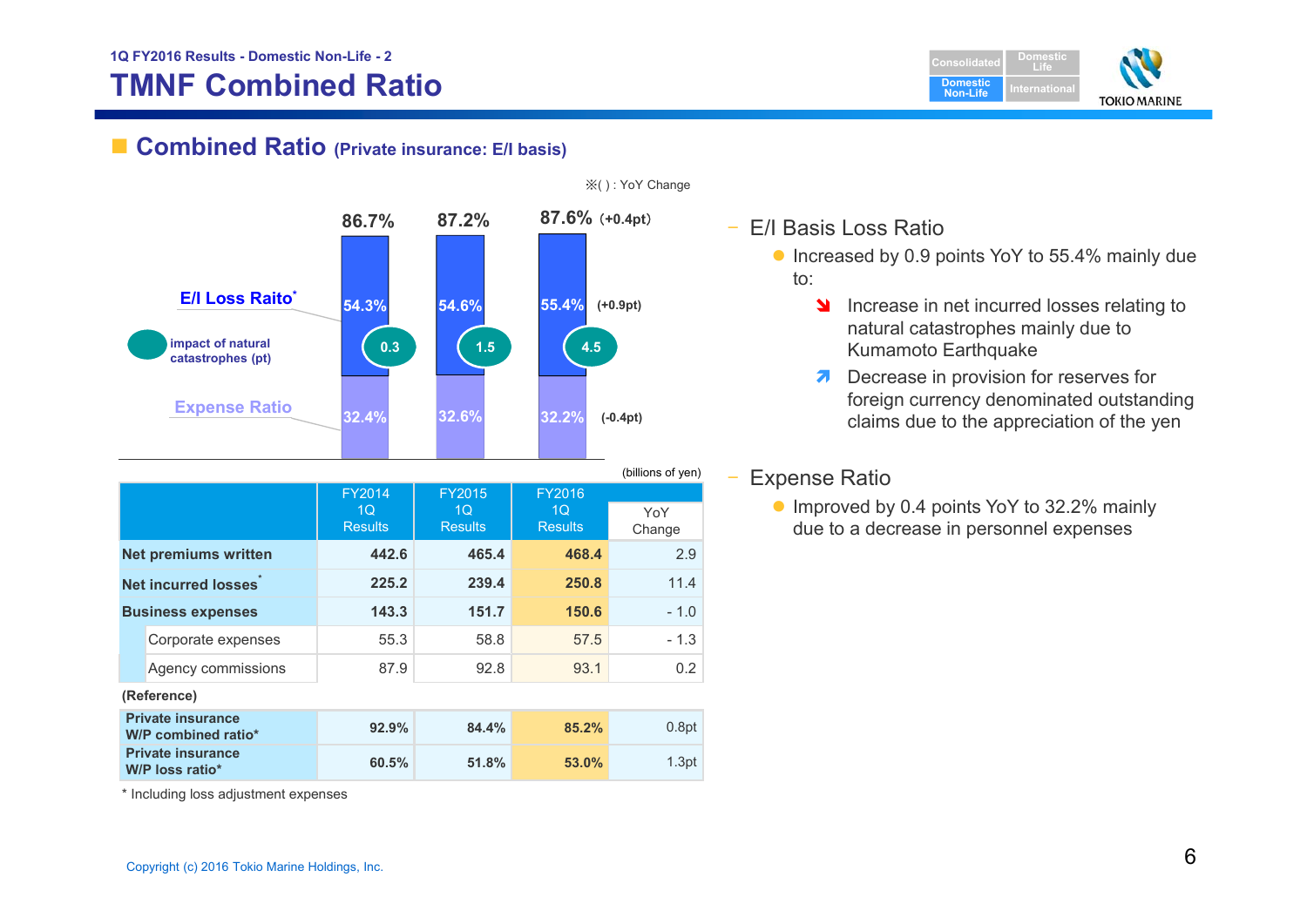## **TMNF Combined Ratio**

■ Combined Ratio (Private insurance: E/I basis)



|             |                                                           |                |                |                | (billions of yen) |
|-------------|-----------------------------------------------------------|----------------|----------------|----------------|-------------------|
|             |                                                           | <b>FY2014</b>  | <b>FY2015</b>  | <b>FY2016</b>  |                   |
|             |                                                           | 1 <sub>O</sub> | 1Q             | 1Q             | YoY               |
|             |                                                           | <b>Results</b> | <b>Results</b> | <b>Results</b> | Change            |
|             | <b>Net premiums written</b>                               | 442.6          | 465.4          | 468.4          | 2.9               |
|             | <b>Net incurred losses</b>                                | 225.2          | 239.4          | 250.8          | 11.4              |
|             | <b>Business expenses</b>                                  | 143.3          | 151.7          | 150.6          | $-1.0$            |
|             | Corporate expenses                                        | 55.3           | 58.8           | 57.5           | $-1.3$            |
|             | Agency commissions                                        | 87.9           | 92.8           | 93.1           | 0.2               |
| (Reference) |                                                           |                |                |                |                   |
|             | <b>Private insurance</b><br>W/P combined ratio*           | 92.9%          | 84.4%          | 85.2%          | 0.8pt             |
|             | <b>Private insurance</b><br>$W/P$ loss ratio <sup>*</sup> | 60.5%          | 51.8%          | 53.0%          | 1.3pt             |

※( ) : YoY Change

- E/I Basis Loss Ratio
	- Increased by 0.9 points YoY to 55.4% mainly due to:

**Domestic Non-Life**

**DomesticLifeI**ternationa

**TOKIO MARINE** 

- **Increase in net incurred losses relating to** natural catastrophes mainly due to Kumamoto Earthquake
- $\overline{\boldsymbol{z}}$  Decrease in provision for reserves for foreign currency denominated outstanding claims due to the appreciation of the yen

#### Expense Ratio

● Improved by 0.4 points YoY to 32.2% mainly due to a decrease in personnel expenses

\* Including loss adjustment expenses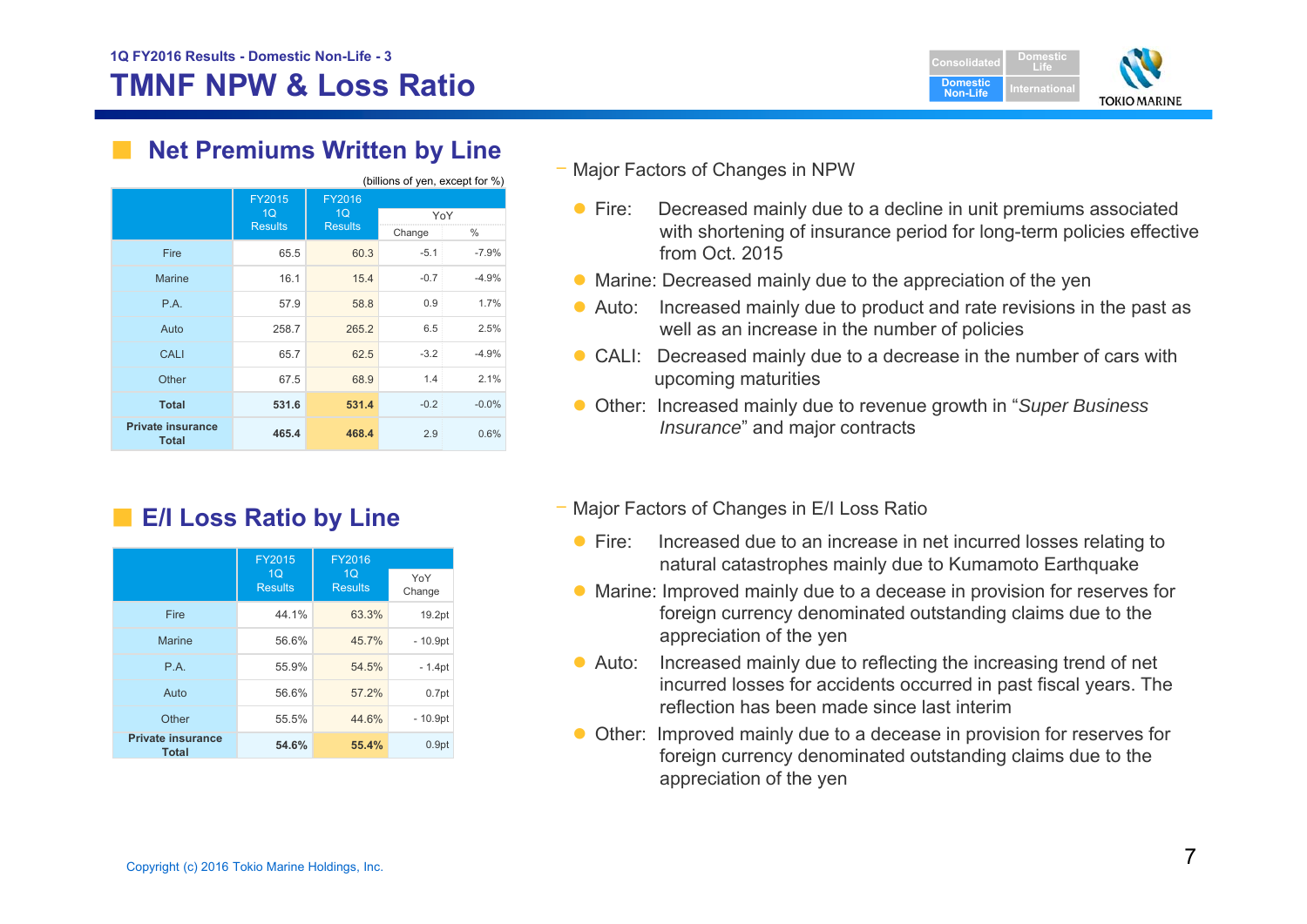

## **Net Premiums Written by Line**

| (billions of yen, except for %)          |                |                |        |         |
|------------------------------------------|----------------|----------------|--------|---------|
|                                          | <b>FY2015</b>  | FY2016         |        |         |
|                                          | 1Q             | 1 <sub>Q</sub> | YoY    |         |
|                                          | <b>Results</b> | <b>Results</b> | Change | %       |
| Fire                                     | 65.5           | 60.3           | $-5.1$ | $-7.9%$ |
| <b>Marine</b>                            | 16.1           | 15.4           | $-0.7$ | $-4.9%$ |
| P.A.                                     | 57.9           | 58.8           | 0.9    | 1.7%    |
| Auto                                     | 258.7          | 265.2          | 6.5    | 2.5%    |
| CALI                                     | 65.7           | 62.5           | $-3.2$ | $-4.9%$ |
| Other                                    | 67.5           | 68.9           | 1.4    | 2.1%    |
| <b>Total</b>                             | 531.6          | 531.4          | $-0.2$ | $-0.0%$ |
| <b>Private insurance</b><br><b>Total</b> | 465.4          | 468.4          | 2.9    | 0.6%    |

■ **E/I Loss Ratio by Line** 

|                                   | <b>FY2015</b><br>FY2016          |                                  |                   |
|-----------------------------------|----------------------------------|----------------------------------|-------------------|
|                                   | 1 <sub>O</sub><br><b>Results</b> | 1 <sub>O</sub><br><b>Results</b> | YoY<br>Change     |
| Fire                              | 44.1%                            | 63.3%                            | 19.2pt            |
| <b>Marine</b>                     | 56.6%                            | 45.7%                            | $-10.9pt$         |
| P.A.                              | 55.9%                            | 54.5%                            | $-1.4pt$          |
| Auto                              | 56.6%                            | 57.2%                            | 0.7 <sub>pt</sub> |
| Other                             | 55.5%                            | 44.6%                            | $-10.9pt$         |
| <b>Private insurance</b><br>Total | 54.6%                            | 55.4%                            | 0.9 <sub>pt</sub> |

Major Factors of Changes in NPW

- $\bullet$  Fire: Decreased mainly due to a decline in unit premiums associated with shortening of insurance period for long-term policies effective from Oct. 2015
- Marine: Decreased mainly due to the appreciation of the yen
- Auto: Increased mainly due to product and rate revisions in the past as well as an increase in the number of policies
- CALI: Decreased mainly due to a decrease in the number of cars with upcoming maturities
- Other: Increased mainly due to revenue growth in "*Super Business Insurance*" and major contracts
- Major Factors of Changes in E/I Loss Ratio
	- $\bullet$  Fire: Increased due to an increase in net incurred losses relating to natural catastrophes mainly due to Kumamoto Earthquake
	- Marine: Improved mainly due to a decease in provision for reserves for foreign currency denominated outstanding claims due to the appreciation of the yen
	- $\bullet$  Auto: Increased mainly due to reflecting the increasing trend of net incurred losses for accidents occurred in past fiscal years. The reflection has been made since last interim
	- Other: Improved mainly due to a decease in provision for reserves for foreign currency denominated outstanding claims due to the appreciation of the yen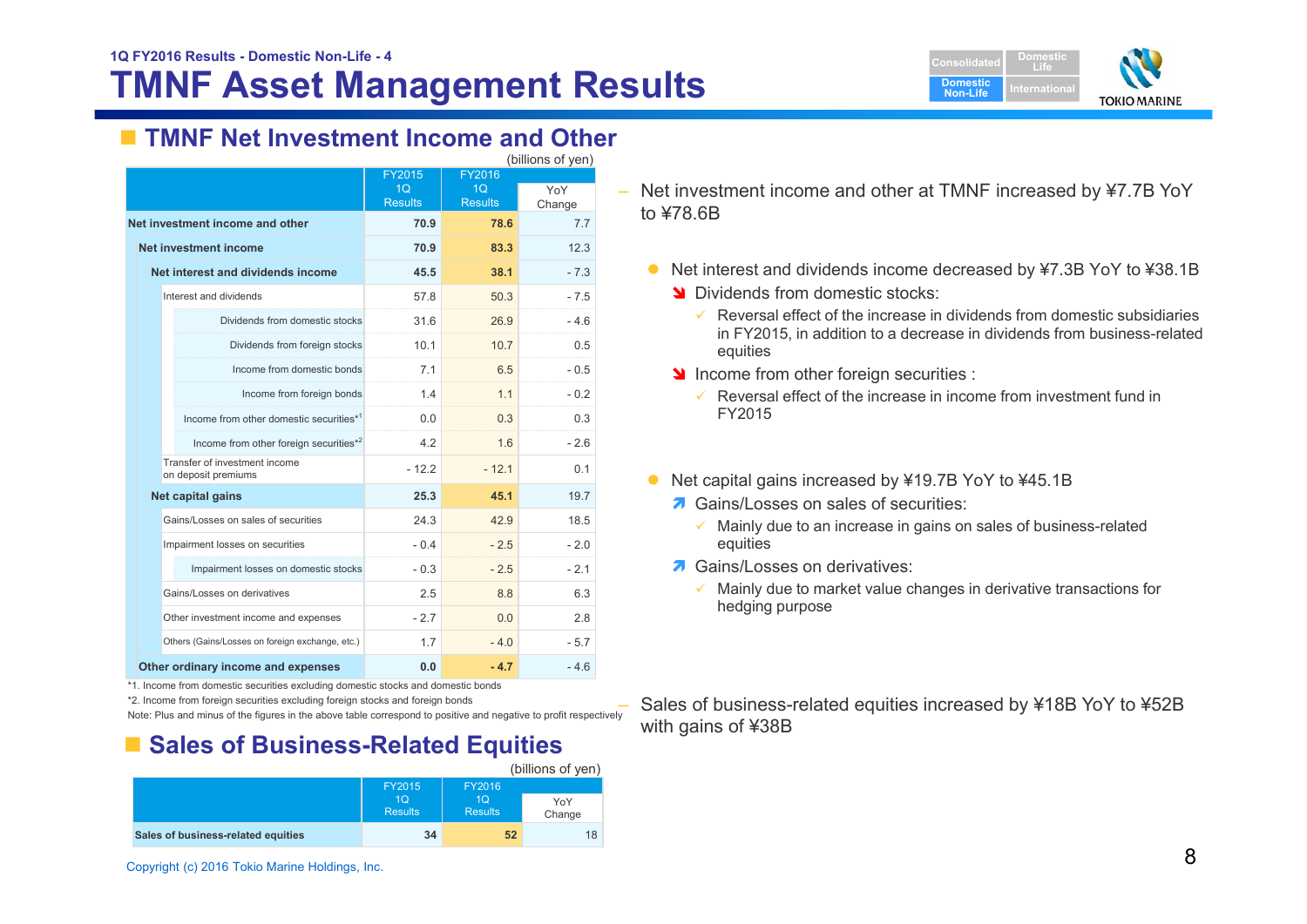## **TMNF Asset Management Results**



## **TMNF Net Investment Income and Other**

| (billions of yen)                                    |                  |                |        |  |
|------------------------------------------------------|------------------|----------------|--------|--|
|                                                      | FY2016<br>FY2015 |                |        |  |
|                                                      | 1Q               | 1Q             | YoY    |  |
|                                                      | <b>Results</b>   | <b>Results</b> | Change |  |
| Net investment income and other                      | 70.9             | 78.6           | 77     |  |
| Net investment income                                | 70.9             | 83.3           | 12.3   |  |
| Net interest and dividends income                    | 38.1<br>45.5     |                |        |  |
| Interest and dividends                               | 57.8             | 50.3           | $-7.5$ |  |
| Dividends from domestic stocks                       | 31.6             | 26.9           | $-4.6$ |  |
| Dividends from foreign stocks                        | 10.1             | 10.7           | 0.5    |  |
| Income from domestic bonds                           | 7.1              | 6.5            | $-0.5$ |  |
| Income from foreign bonds                            | 1.4              | 1.1            | $-0.2$ |  |
| Income from other domestic securities*1              | 0.0              | 0.3            | 0.3    |  |
| Income from other foreign securities* <sup>2</sup>   | 42               | 16             | $-26$  |  |
| Transfer of investment income<br>on deposit premiums | $-12.2$          | $-12.1$        | 0.1    |  |
| Net capital gains                                    | 25.3             | 45.1           | 19.7   |  |
| Gains/Losses on sales of securities                  | 24.3             | 42.9           | 18.5   |  |
| Impairment losses on securities                      | $-0.4$           | $-2.5$         | $-2.0$ |  |
| Impairment losses on domestic stocks                 | $-0.3$           | $-2.5$         | $-21$  |  |
| Gains/Losses on derivatives                          | 2.5              | 8.8            | 6.3    |  |
| Other investment income and expenses                 | $-2.7$           | 0.0            | 2.8    |  |
| Others (Gains/Losses on foreign exchange, etc.)      | 1.7              | $-40$          | $-5.7$ |  |
| Other ordinary income and expenses                   | $-4.7$           | $-4.6$         |        |  |

\*1. Income from domestic securities excluding domestic stocks and domestic bonds

\*2. Income from foreign securities excluding foreign stocks and foreign bonds

Note: Plus and minus of the figures in the above table correspond to positive and negative to profit respectively

## ■ Sales of Business-Related Equities

|                                    |                                  |                                  | (billions of yen) |
|------------------------------------|----------------------------------|----------------------------------|-------------------|
|                                    | <b>FY2015</b>                    |                                  |                   |
|                                    | 1 <sub>O</sub><br><b>Results</b> | 1 <sub>O</sub><br><b>Results</b> | YoY<br>Change     |
| Sales of business-related equities | 34                               | 52                               | 18                |
|                                    |                                  |                                  |                   |

– Net investment income and other at TMNF increased by ¥7.7B YoY to ¥78.6B

- Net interest and dividends income decreased by ¥7.3B YoY to ¥38.1B
	- Dividends from domestic stocks:
		- $\checkmark$  Reversal effect of the increase in dividends from domestic subsidiaries in FY2015, in addition to a decrease in dividends from business-related equities
	- Income from other foreign securities :
		- $\checkmark$  Reversal effect of the increase in income from investment fund in FY2015
- Net capital gains increased by ¥19.7B YoY to ¥45.1B
	- **7** Gains/Losses on sales of securities:
		- $\checkmark$  Mainly due to an increase in gains on sales of business-related equities
	- **7** Gains/Losses on derivatives:
		- ✓ Mainly due to market value changes in derivative transactions for hedging purpose
- Sales of business-related equities increased by ¥18B YoY to ¥52B with gains of ¥38B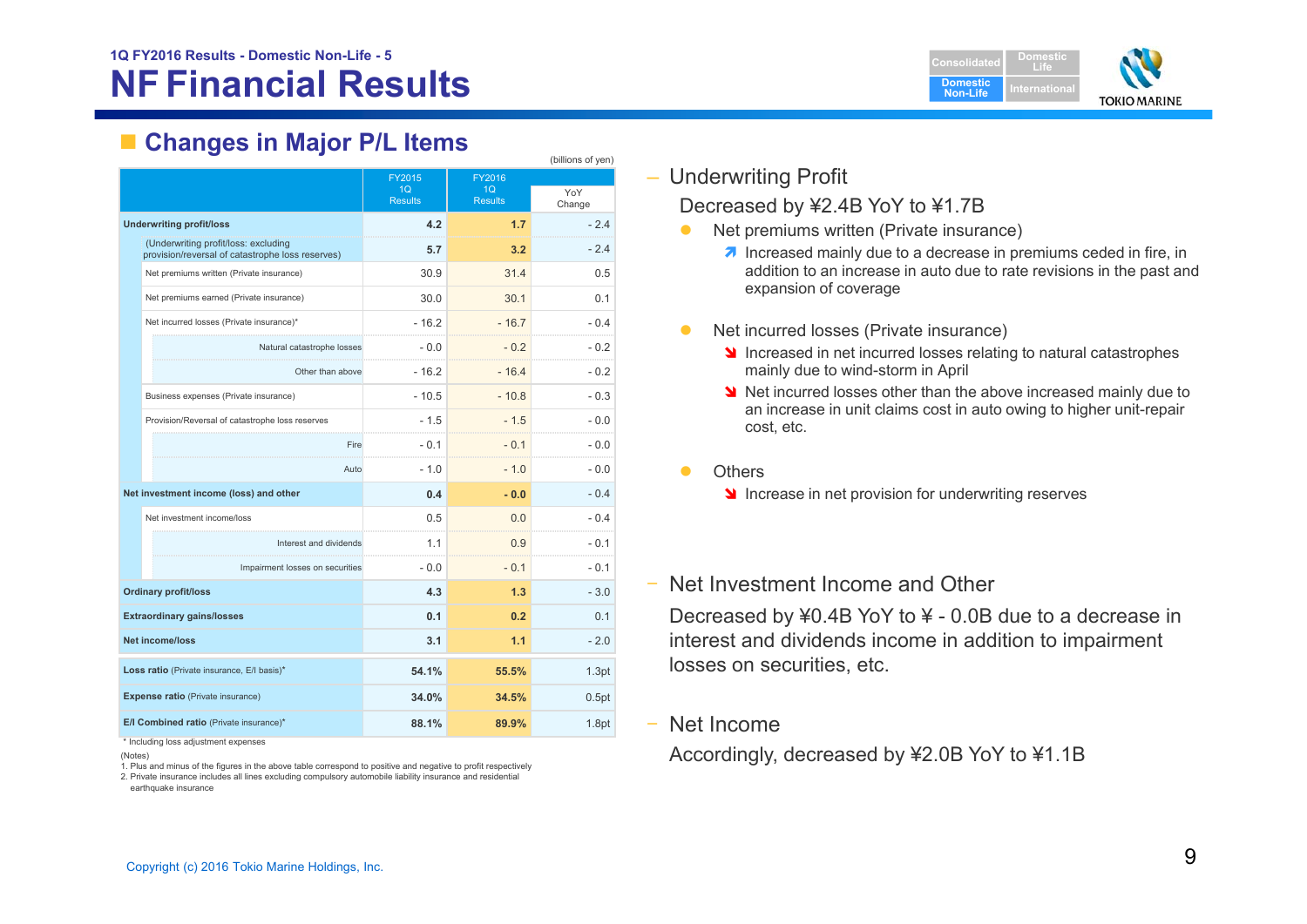

## **Changes in Major P/L Items**

|                                                                                          |                          |                          | (billions of yen) |
|------------------------------------------------------------------------------------------|--------------------------|--------------------------|-------------------|
|                                                                                          | FY2015<br>1 <sub>O</sub> | FY2016<br>1 <sub>O</sub> | YoY               |
|                                                                                          | <b>Results</b>           | <b>Results</b>           | Change            |
| <b>Underwriting profit/loss</b>                                                          | 4.2                      | 1.7                      | $-2.4$            |
| (Underwriting profit/loss: excluding<br>provision/reversal of catastrophe loss reserves) | 5.7                      | 3.2                      | $-24$             |
| Net premiums written (Private insurance)                                                 | 30.9                     | 31.4                     | 0.5               |
| Net premiums earned (Private insurance)                                                  | 30.0                     | 30.1                     | 0.1               |
| Net incurred losses (Private insurance)*                                                 | $-16.2$                  | $-16.7$                  | $-0.4$            |
| Natural catastrophe losses                                                               | $-0.0$                   | $-0.2$                   | $-0.2$            |
| Other than above                                                                         | $-16.2$                  | $-16.4$                  | $-0.2$            |
| Business expenses (Private insurance)                                                    | $-10.5$                  | $-10.8$                  | $-0.3$            |
| Provision/Reversal of catastrophe loss reserves                                          | $-1.5$                   | $-1.5$                   | $-0.0$            |
| Fire                                                                                     | $-0.1$                   | $-0.1$                   | $-0.0$            |
| Auto                                                                                     | $-1.0$                   | $-1.0$                   | $-0.0$            |
| Net investment income (loss) and other                                                   | 0.4                      | $-0.0$                   | $-0.4$            |
| Net investment income/loss                                                               | 0.5                      | 0.0                      | $-0.4$            |
| Interest and dividends                                                                   | 1.1                      | 0.9                      | $-0.1$            |
| Impairment losses on securities                                                          | $-0.0$                   | $-0.1$                   | $-0.1$            |
| <b>Ordinary profit/loss</b>                                                              | 4.3                      | 1.3                      | $-3.0$            |
| <b>Extraordinary gains/losses</b>                                                        | 0.1                      | 0.2                      | 0.1               |
| <b>Net income/loss</b>                                                                   | 3.1                      | 1.1                      | $-2.0$            |
| Loss ratio (Private insurance, E/I basis)*                                               | 54.1%                    | 55.5%                    | 1.3pt             |
| <b>Expense ratio</b> (Private insurance)                                                 | 34.0%                    | 34.5%                    | 0.5pt             |
| E/I Combined ratio (Private insurance)*                                                  | 88.1%                    | 89.9%                    | 1.8pt             |

\* Including loss adjustment expenses

(Notes)

1. Plus and minus of the figures in the above table correspond to positive and negative to profit respectively

2. Private insurance includes all lines excluding compulsory automobile liability insurance and residential earthquake insurance

### – Underwriting Profit

#### Decreased by ¥2.4B YoY to ¥1.7B

- $\bullet$  Net premiums written (Private insurance)
	- **1** Increased mainly due to a decrease in premiums ceded in fire, in addition to an increase in auto due to rate revisions in the past and expansion of coverage
- $\bullet$  Net incurred losses (Private insurance)
	- **If** Increased in net incurred losses relating to natural catastrophes mainly due to wind-storm in April
	- Net incurred losses other than the above increased mainly due to an increase in unit claims cost in auto owing to higher unit-repair cost, etc.
- $\bullet$ **Others** 
	- Increase in net provision for underwriting reserves
- ‒ Net Investment Income and Other

Decreased by ¥0.4B YoY to ¥ - 0.0B due to a decrease in interest and dividends income in addition to impairment losses on securities, etc.

‒ Net Income

Accordingly, decreased by ¥2.0B YoY to ¥1.1B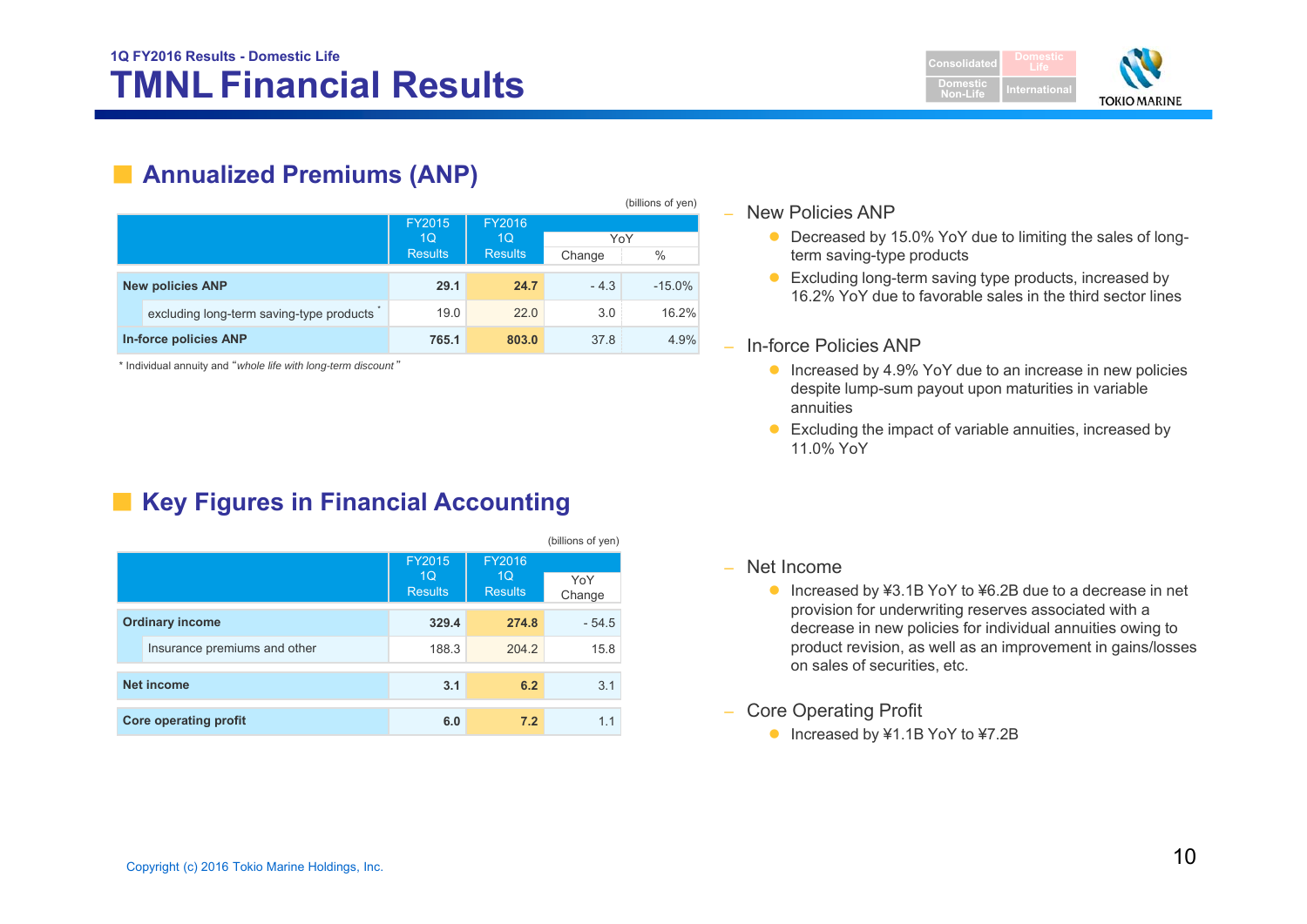

## ■ **Annualized Premiums (ANP)**

|                              |                                          |                |                |        | (billions of yen) |
|------------------------------|------------------------------------------|----------------|----------------|--------|-------------------|
|                              |                                          | FY2015         | FY2016         |        |                   |
|                              |                                          | 1Q             | 1 <sub>O</sub> | YoY    |                   |
|                              |                                          | <b>Results</b> | <b>Results</b> | Change | $\%$              |
|                              | <b>New policies ANP</b>                  | 29.1           | 24.7           | $-4.3$ | $-15.0%$          |
|                              | excluding long-term saving-type products | 19.0           | 22.0           | 3.0    | 16.2%             |
| <b>In-force policies ANP</b> |                                          | 765.1          | 803.0          | 37.8   | 4.9%              |

\* Individual annuity and "*whole life with long-term discount* "

## ■ Key Figures in Financial Accounting

|                              |                                                   |                                            | (billions of yen) |
|------------------------------|---------------------------------------------------|--------------------------------------------|-------------------|
|                              | <b>FY2015</b><br>1 <sub>O</sub><br><b>Results</b> | FY2016<br>1 <sub>O</sub><br><b>Results</b> | YoY<br>Change     |
| <b>Ordinary income</b>       | 329.4                                             | 274.8                                      | $-54.5$           |
| Insurance premiums and other | 188.3                                             | 204.2                                      | 15.8              |
| <b>Net income</b>            | 3.1                                               | 6.2                                        | 3.1               |
| <b>Core operating profit</b> | 6.0                                               | 7.2                                        | 1.1               |

#### – New Policies ANP

- Decreased by 15.0% YoY due to limiting the sales of longterm saving-type products
- Excluding long-term saving type products, increased by 16.2% YoY due to favorable sales in the third sector lines

#### – In-force Policies ANP

- Increased by 4.9% YoY due to an increase in new policies despite lump-sum payout upon maturities in variable annuities
- Excluding the impact of variable annuities, increased by 11.0% YoY

#### – Net Income

- Increased by ¥3.1B YoY to ¥6.2B due to a decrease in net provision for underwriting reserves associated with a decrease in new policies for individual annuities owing to product revision, as well as an improvement in gains/losses on sales of securities, etc.
- – Core Operating Profit
	- Increased by ¥1.1B YoY to ¥7.2B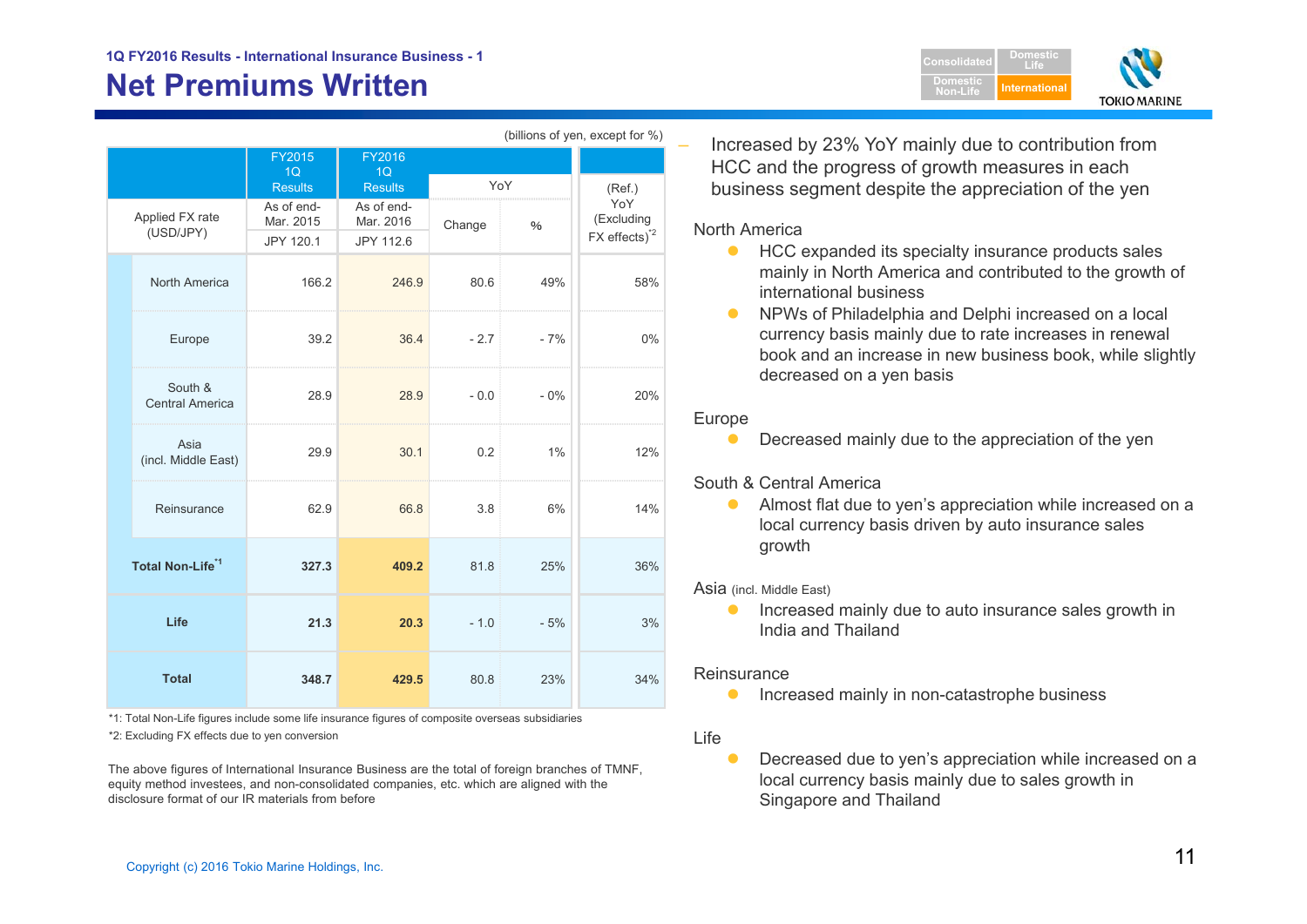## **Net Premiums Written**

| (DIIIIONS OF YELL, EXCEPT TO 170) |                                   |                                      |                                      |        |        |                                                              |  |
|-----------------------------------|-----------------------------------|--------------------------------------|--------------------------------------|--------|--------|--------------------------------------------------------------|--|
|                                   |                                   | FY2015<br>1Q                         | FY2016<br>1Q                         |        |        |                                                              |  |
|                                   |                                   | <b>Results</b>                       | <b>Results</b>                       | YoY    |        | (Ref.)                                                       |  |
|                                   | Applied FX rate<br>(USD/JPY)      | As of end-<br>Mar. 2015<br>JPY 120.1 | As of end-<br>Mar. 2016<br>JPY 112.6 | Change | $\%$   | YoY<br>(Excluding<br>$FX$ effects) <sup><math>2</math></sup> |  |
|                                   | <b>North America</b>              | 166.2                                | 246.9                                | 80.6   | 49%    | 58%                                                          |  |
|                                   | Europe                            | 39.2                                 | 36.4                                 | $-2.7$ | $-7%$  | 0%                                                           |  |
|                                   | South &<br><b>Central America</b> | 28.9                                 | 28.9                                 | $-0.0$ | $-0\%$ | 20%                                                          |  |
|                                   | Asia<br>(incl. Middle East)       | 29.9                                 | 30.1                                 | 0.2    | $1\%$  | 12%                                                          |  |
|                                   | Reinsurance                       | 62.9                                 | 66.8                                 | 3.8    | 6%     | 14%                                                          |  |
|                                   | Total Non-Life <sup>*1</sup>      | 327.3                                | 409.2                                | 81.8   | 25%    | 36%                                                          |  |
| Life                              |                                   | 21.3                                 | 20.3                                 | $-1.0$ | $-5%$  | 3%                                                           |  |
|                                   | <b>Total</b>                      | 348.7                                | 429.5                                | 80.8   | 23%    | 34%                                                          |  |

\*1: Total Non-Life figures include some life insurance figures of composite overseas subsidiaries

\*2: Excluding FX effects due to yen conversion

The above figures of International Insurance Business are the total of foreign branches of TMNF, equity method investees, and non-consolidated companies, etc. which are aligned with the disclosure format of our IR materials from before

 Increased by 23% YoY mainly due to contribution from HCC and the progress of growth measures in each business segment despite the appreciation of the yen

#### North America

(billions of yen, except for  $\theta$ )

**• HCC expanded its specialty insurance products sales** mainly in North America and contributed to the growth of international business

**Domestic Non-Life**

**DomesticLifeInternationa** 

**TOKIO MARINE** 

 $\bullet$  NPWs of Philadelphia and Delphi increased on a local currency basis mainly due to rate increases in renewal book and an increase in new business book, while slightly decreased on a yen basis

#### Europe

 $\bullet$ Decreased mainly due to the appreciation of the yen

South & Central America

 $\bullet$  Almost flat due to yen's appreciation while increased on a local currency basis driven by auto insurance sales growth

Asia (incl. Middle East)

 $\bullet$  Increased mainly due to auto insurance sales growth in India and Thailand

#### **Reinsurance**

 $\bullet$ Increased mainly in non-catastrophe business

#### Life

 $\bullet$  Decreased due to yen's appreciation while increased on a local currency basis mainly due to sales growth in Singapore and Thailand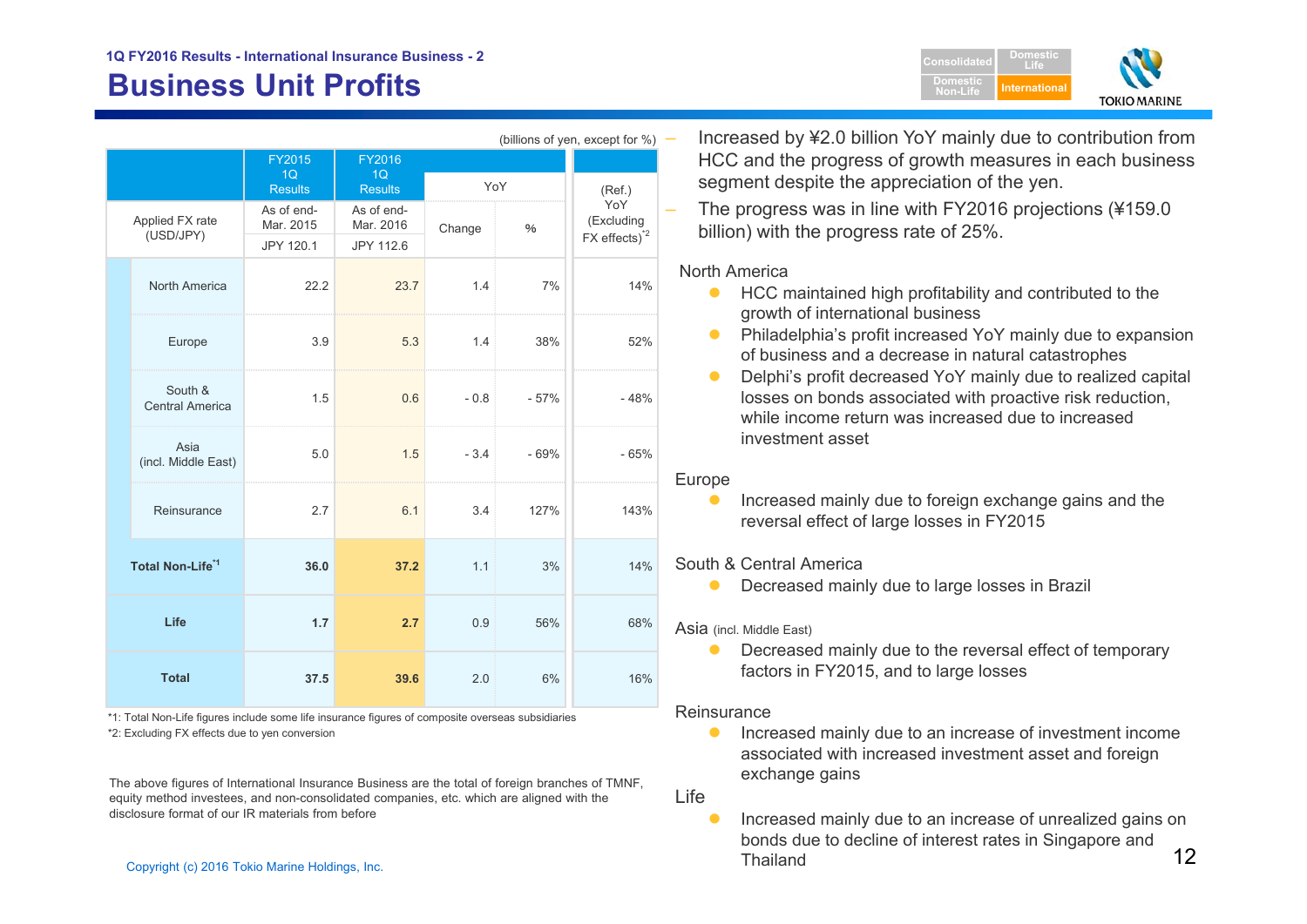## **Business Unit Profits**

| Consolidated                | <b>Domestic</b> |                     |
|-----------------------------|-----------------|---------------------|
| <b>Domestic</b><br>Non-Life | International   |                     |
|                             |                 | <b>TOKIO MARINE</b> |

| (billions of yen, except for %) |                                   |                         |                            |        |        |                                               |  |
|---------------------------------|-----------------------------------|-------------------------|----------------------------|--------|--------|-----------------------------------------------|--|
|                                 |                                   | FY2015                  | FY2016                     |        |        |                                               |  |
|                                 |                                   | <b>Results</b>          | 1Q<br>1Q<br><b>Results</b> |        | YoY    | (Ref.)                                        |  |
| Applied FX rate<br>(USD/JPY)    |                                   | As of end-<br>Mar. 2015 | As of end-<br>Mar. 2016    | Change | $\%$   | YoY<br>(Excluding<br>FX effects) <sup>2</sup> |  |
|                                 |                                   | JPY 120.1               | JPY 112.6                  |        |        |                                               |  |
|                                 | North America                     | 22.2                    | 23.7                       | 1.4    | 7%     | 14%                                           |  |
|                                 | Europe                            | 3.9                     | 5.3                        | 1.4    | 38%    | 52%                                           |  |
|                                 | South &<br><b>Central America</b> | 1.5                     | 0.6                        | $-0.8$ | $-57%$ | $-48%$                                        |  |
|                                 | Asia<br>(incl. Middle East)       | 5.0                     | 1.5                        | $-3.4$ | $-69%$ | $-65%$                                        |  |
|                                 | Reinsurance                       | 2.7                     | 6.1                        | 3.4    | 127%   | 143%                                          |  |
| Total Non-Life <sup>*1</sup>    |                                   | 36.0                    | 37.2                       | 1.1    | 3%     | 14%                                           |  |
| Life                            |                                   | 1.7                     | 2.7                        | 0.9    | 56%    | 68%                                           |  |
| <b>Total</b>                    |                                   | 37.5                    | 39.6                       | 2.0    | 6%     | 16%                                           |  |

\*2: Excluding FX effects due to yen conversion \*1: Total Non-Life figures include some life insurance figures of composite overseas subsidiaries

The above figures of International Insurance Business are the total of foreign branches of TMNF, equity method investees, and non-consolidated companies, etc. which are aligned with the disclosure format of our IR materials from before

 Increased by ¥2.0 billion YoY mainly due to contribution from HCC and the progress of growth measures in each business segment despite the appreciation of the yen.

 The progress was in line with FY2016 projections (¥159.0 billion) with the progress rate of 25%.

#### North America

- **HCC maintained high profitability and contributed to the** growth of international business
- $\bullet$  Philadelphia's profit increased YoY mainly due to expansion of business and a decrease in natural catastrophes
- $\bullet$  Delphi's profit decreased YoY mainly due to realized capital losses on bonds associated with proactive risk reduction, while income return was increased due to increased investment asset

#### Europe

 $\bullet$  Increased mainly due to foreign exchange gains and the reversal effect of large losses in FY2015

#### South & Central America

 $\bullet$ Decreased mainly due to large losses in Brazil

#### Asia (incl. Middle East)

 $\bullet$  Decreased mainly due to the reversal effect of temporary factors in FY2015, and to large losses

#### **Reinsurance**

 $\bullet$  Increased mainly due to an increase of investment income associated with increased investment asset and foreign exchange gains

Life

 $\frac{12}{2}$  Copyright (c) 2016 Tokio Marine Holdings, Inc. 12  $\bullet$  Increased mainly due to an increase of unrealized gains on bonds due to decline of interest rates in Singapore and Thailand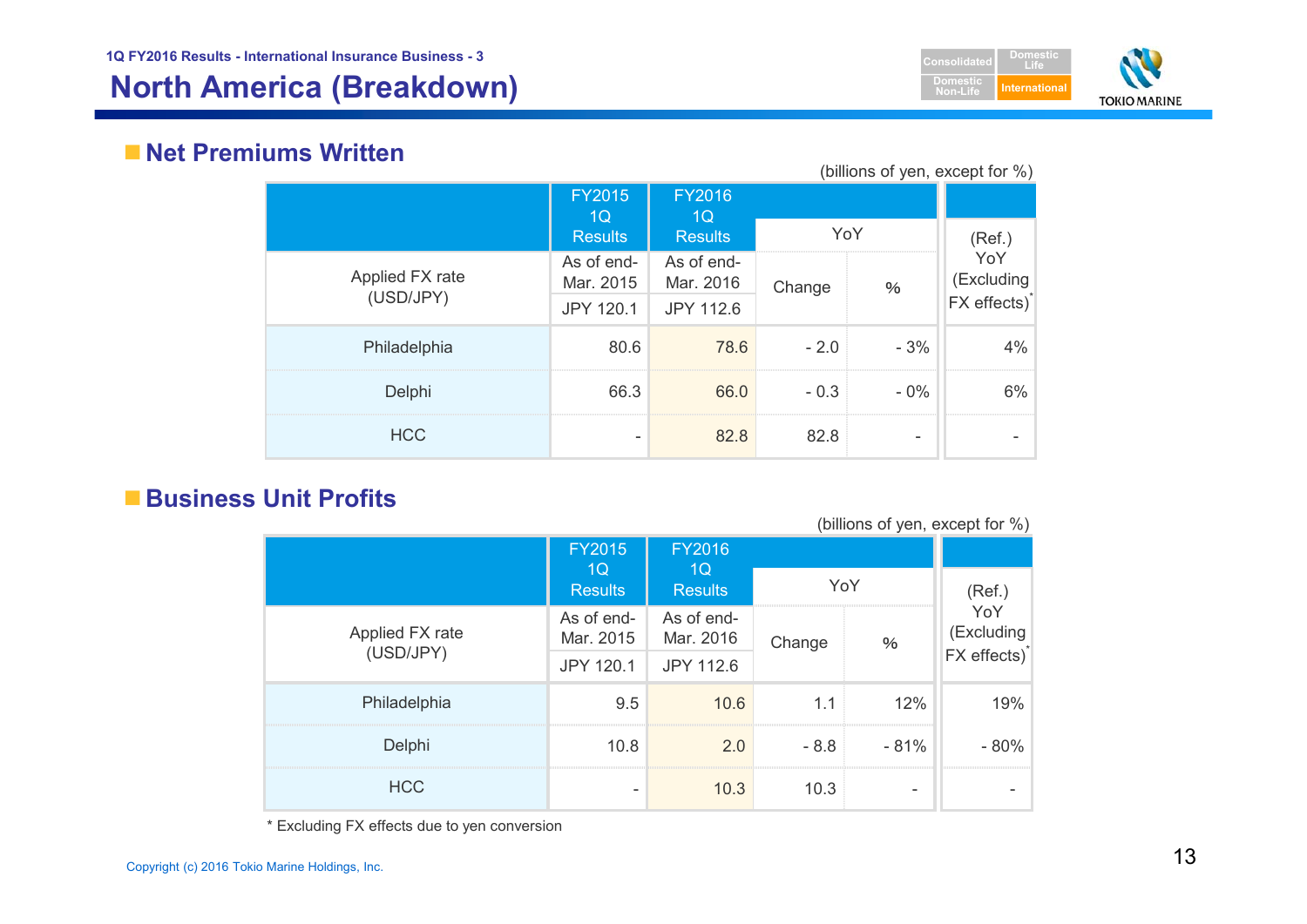## **North America (Breakdown) International**



## **Net Premiums Written**

(billions of yen, except for %)

|                 | <b>FY2015</b><br>1Q     | <b>FY2016</b><br>1Q     |        |                            |               |
|-----------------|-------------------------|-------------------------|--------|----------------------------|---------------|
|                 | <b>Results</b>          | <b>Results</b>          | YoY    |                            | (Ref.)<br>YoY |
| Applied FX rate | As of end-<br>Mar. 2015 | As of end-<br>Mar. 2016 | Change | $\%$                       | (Excluding    |
| (USD/JPY)       | JPY 120.1               | JPY 112.6               |        | $FX$ effects) <sup>*</sup> |               |
| Philadelphia    | 80.6                    | 78.6                    | $-2.0$ | $-3%$                      | 4%            |
| Delphi          | 66.3                    | 66.0                    | $-0.3$ | $-0\%$                     | 6%            |
| <b>HCC</b>      |                         | 82.8                    | 82.8   | -                          |               |

## **Business Unit Profits**

(billions of yen, except for %)

|                 | <b>FY2015</b>           | <b>FY2016</b>           |                |                   |                          |
|-----------------|-------------------------|-------------------------|----------------|-------------------|--------------------------|
|                 | 1Q<br><b>Results</b>    | 1Q<br><b>Results</b>    | YoY            |                   | (Ref.)                   |
| Applied FX rate | As of end-<br>Mar. 2015 | As of end-<br>Mar. 2016 | Change<br>$\%$ | YoY<br>(Excluding |                          |
| (USD/JPY)       | <b>JPY 120.1</b>        | JPY 112.6               |                |                   | FX effects) <sup>*</sup> |
| Philadelphia    | 9.5                     | 10.6                    | 1.1            | 12%               | 19%                      |
| Delphi          | 10.8                    | 2.0                     | $-8.8$         | $-81%$            | $-80%$                   |
| <b>HCC</b>      |                         | 10.3                    | 10.3           | -                 |                          |

\* Excluding FX effects due to yen conversion